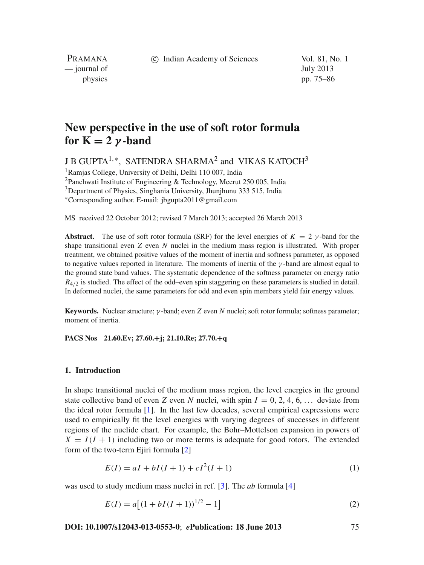c Indian Academy of Sciences Vol. 81, No. 1

PRAMANA — journal of July 2013

physics pp. 75–86

# **New perspective in the use of soft rotor formula for**  $K = 2$  *γ* **-band**

J B GUPTA1,∗, SATENDRA SHARMA<sup>2</sup> and VIKAS KATOCH<sup>3</sup>

1Ramjas College, University of Delhi, Delhi 110 007, India

<sup>2</sup>Panchwati Institute of Engineering & Technology, Meerut 250 005, India

3Department of Physics, Singhania University, Jhunjhunu 333 515, India

<sup>∗</sup>Corresponding author. E-mail: jbgupta2011@gmail.com

MS received 22 October 2012; revised 7 March 2013; accepted 26 March 2013

**Abstract.** The use of soft rotor formula (SRF) for the level energies of  $K = 2$   $\gamma$ -band for the shape transitional even *Z* even *N* nuclei in the medium mass region is illustrated. With proper treatment, we obtained positive values of the moment of inertia and softness parameter, as opposed to negative values reported in literature. The moments of inertia of the  $\gamma$ -band are almost equal to the ground state band values. The systematic dependence of the softness parameter on energy ratio  $R_{4/2}$  is studied. The effect of the odd–even spin staggering on these parameters is studied in detail. In deformed nuclei, the same parameters for odd and even spin members yield fair energy values.

**Keywords.** Nuclear structure; γ -band; even *Z* even *N* nuclei; soft rotor formula; softness parameter; moment of inertia.

**PACS Nos 21.60.Ev; 27.60.+j; 21.10.Re; 27.70.+q**

#### **1. Introduction**

In shape transitional nuclei of the medium mass region, the level energies in the ground state collective band of even *Z* even *N* nuclei, with spin  $I = 0, 2, 4, 6, \ldots$  deviate from the ideal rotor formula  $[1]$  $[1]$ . In the last few decades, several empirical expressions were used to empirically fit the level energies with varying degrees of successes in different regions of the nuclide chart. For example, the Bohr–Mottelson expansion in powers of  $X = I(I + 1)$  including two or more terms is adequate for good rotors. The extended form of the two-term Ejiri formula [\[2\]](#page-10-1)

$$
E(I) = aI + bI(I + 1) + cI^2(I + 1)
$$
\n(1)

was used to study medium mass nuclei in ref. [\[3](#page-11-0)]. The *ab* formula [\[4](#page-11-1)]

$$
E(I) = a[(1 + bI(I + 1))^{1/2} - 1]
$$
\n(2)

**DOI: 10.1007/s12043-013-0553-0**; *e***Publication: 18 June 2013** 75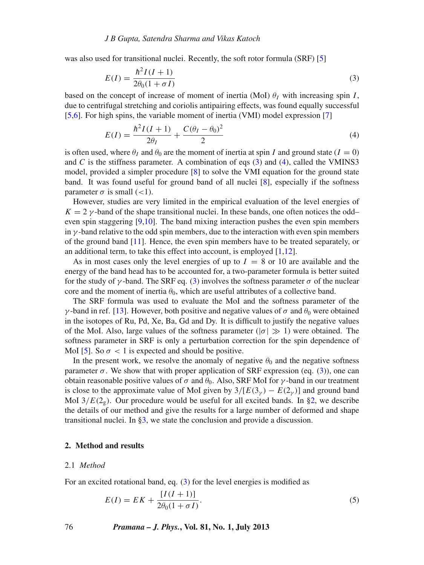was also used for transitional nuclei. Recently, the soft rotor formula (SRF) [\[5](#page-11-2)]

<span id="page-1-0"></span>
$$
E(I) = \frac{\hbar^2 I(I+1)}{2\theta_0 (1 + \sigma I)}\tag{3}
$$

based on the concept of increase of moment of inertia (MoI)  $\theta_I$  with increasing spin *I*, due to centrifugal stretching and coriolis antipairing effects, was found equally successful [\[5](#page-11-2)[,6\]](#page-11-3). For high spins, the variable moment of inertia (VMI) model expression [\[7](#page-11-4)]

<span id="page-1-1"></span>
$$
E(I) = \frac{\hbar^2 I (I+1)}{2\theta_I} + \frac{C(\theta_I - \theta_0)^2}{2}
$$
 (4)

is often used, where  $\theta_I$  and  $\theta_0$  are the moment of inertia at spin *I* and ground state ( $I = 0$ ) and  $C$  is the stiffness parameter. A combination of eqs  $(3)$  and  $(4)$ , called the VMINS3 model, provided a simpler procedure [\[8\]](#page-11-5) to solve the VMI equation for the ground state band. It was found useful for ground band of all nuclei [\[8\]](#page-11-5), especially if the softness parameter  $\sigma$  is small (<1).

However, studies are very limited in the empirical evaluation of the level energies of  $K = 2 \gamma$ -band of the shape transitional nuclei. In these bands, one often notices the odd– even spin staggering [\[9](#page-11-6)[,10\]](#page-11-7). The band mixing interaction pushes the even spin members in  $\gamma$ -band relative to the odd spin members, due to the interaction with even spin members of the ground band [\[11](#page-11-8)]. Hence, the even spin members have to be treated separately, or an additional term, to take this effect into account, is employed  $[1,12]$  $[1,12]$ .

As in most cases only the level energies of up to  $I = 8$  or 10 are available and the energy of the band head has to be accounted for, a two-parameter formula is better suited for the study of  $\gamma$ -band. The SRF eq. [\(3\)](#page-1-0) involves the softness parameter  $\sigma$  of the nuclear core and the moment of inertia  $\theta_0$ , which are useful attributes of a collective band.

The SRF formula was used to evaluate the MoI and the softness parameter of the γ-band in ref. [\[13](#page-11-10)]. However, both positive and negative values of  $\sigma$  and  $\theta_0$  were obtained in the isotopes of Ru, Pd, Xe, Ba, Gd and Dy. It is difficult to justify the negative values of the MoI. Also, large values of the softness parameter ( $|\sigma| \gg 1$ ) were obtained. The softness parameter in SRF is only a perturbation correction for the spin dependence of MoI [\[5\]](#page-11-2). So  $\sigma < 1$  is expected and should be positive.

In the present work, we resolve the anomaly of negative  $\theta_0$  and the negative softness parameter  $\sigma$ . We show that with proper application of SRF expression (eq. [\(3\)](#page-1-0)), one can obtain reasonable positive values of  $\sigma$  and  $\theta_0$ . Also, SRF MoI for  $\gamma$ -band in our treatment is close to the approximate value of MoI given by  $3/[E(3<sub>\gamma</sub>) - E(2<sub>\gamma</sub>)]$  and ground band MoI  $3/E(2_g)$ . Our procedure would be useful for all excited bands. In [§2,](#page-1-2) we describe the details of our method and give the results for a large number of deformed and shape transitional nuclei. In [§3,](#page-9-0) we state the conclusion and provide a discussion.

### <span id="page-1-2"></span>**2. Method and results**

#### 2.1 *Method*

For an excited rotational band, eq. [\(3\)](#page-1-0) for the level energies is modified as

<span id="page-1-3"></span>
$$
E(I) = EK + \frac{[I(I+1)]}{2\theta_0(1+\sigma I)}.
$$
\n(5)

76 *Pramana – J. Phys.***, Vol. 81, No. 1, July 2013**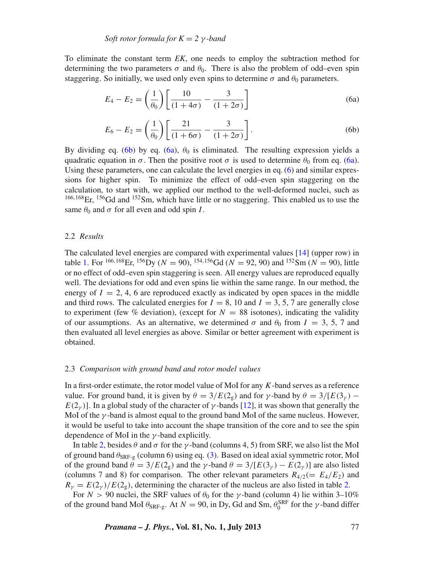To eliminate the constant term *EK*, one needs to employ the subtraction method for determining the two parameters  $\sigma$  and  $\theta_0$ . There is also the problem of odd–even spin staggering. So initially, we used only even spins to determine  $\sigma$  and  $\theta_0$  parameters.

<span id="page-2-1"></span>
$$
E_4 - E_2 = \left(\frac{1}{\theta_0}\right) \left[ \frac{10}{(1+4\sigma)} - \frac{3}{(1+2\sigma)} \right]
$$
 (6a)

$$
E_6 - E_2 = \left(\frac{1}{\theta_0}\right) \left[ \frac{21}{(1 + 6\sigma)} - \frac{3}{(1 + 2\sigma)} \right].
$$
 (6b)

<span id="page-2-0"></span>By dividing eq. [\(6b\)](#page-2-0) by eq. [\(6a\)](#page-2-1),  $\theta_0$  is eliminated. The resulting expression yields a quadratic equation in  $\sigma$ . Then the positive root  $\sigma$  is used to determine  $\theta_0$  from eq. [\(6a\)](#page-2-1). Using these parameters, one can calculate the level energies in eq. (6) and similar expressions for higher spin. To minimize the effect of odd–even spin staggering on the calculation, to start with, we applied our method to the well-deformed nuclei, such as <sup>166</sup>,168Er, 156Gd and 152Sm, which have little or no staggering. This enabled us to use the same  $\theta_0$  and  $\sigma$  for all even and odd spin *I*.

## 2.2 *Results*

The calculated level energies are compared with experimental values [\[14\]](#page-11-11) (upper row) in table [1.](#page-3-0) For <sup>166,168</sup>Er, <sup>156</sup>Dy (*N* = 90), <sup>154,156</sup>Gd (*N* = 92, 90) and <sup>152</sup>Sm (*N* = 90), little or no effect of odd–even spin staggering is seen. All energy values are reproduced equally well. The deviations for odd and even spins lie within the same range. In our method, the energy of  $I = 2, 4, 6$  are reproduced exactly as indicated by open spaces in the middle and third rows. The calculated energies for  $I = 8$ , 10 and  $I = 3$ , 5, 7 are generally close to experiment (few % deviation), (except for  $N = 88$  isotones), indicating the validity of our assumptions. As an alternative, we determined  $\sigma$  and  $\theta_0$  from  $I = 3, 5, 7$  and then evaluated all level energies as above. Similar or better agreement with experiment is obtained.

## 2.3 *Comparison with ground band and rotor model* v*alues*

In a first-order estimate, the rotor model value of MoI for any *K*-band serves as a reference value. For ground band, it is given by  $\theta = 3/E(2<sub>g</sub>)$  and for γ-band by  $\theta = 3/[E(3<sub>γ</sub>) E(2<sub>v</sub>)$ ]. In a global study of the character of  $\gamma$ -bands [\[12](#page-11-9)], it was shown that generally the MoI of the  $\gamma$ -band is almost equal to the ground band MoI of the same nucleus. However, it would be useful to take into account the shape transition of the core and to see the spin dependence of MoI in the  $\gamma$ -band explicitly.

In table [2,](#page-4-0) besides  $\theta$  and  $\sigma$  for the  $\gamma$ -band (columns 4, 5) from SRF, we also list the MoI of ground band  $\theta_{\text{SRF-g}}$  (column 6) using eq. [\(3\)](#page-1-0). Based on ideal axial symmetric rotor, MoI of the ground band  $\theta = 3/E(2_g)$  and the  $\gamma$ -band  $\theta = 3/[E(3_\gamma) - E(2_\gamma)]$  are also listed (columns 7 and 8) for comparison. The other relevant parameters  $R_{4/2} (= E_4/E_2)$  and  $R<sub>v</sub> = E(2<sub>v</sub>)/E(2<sub>s</sub>)$ , determining the character of the nucleus are also listed in table [2.](#page-4-0)

For  $N > 90$  nuclei, the SRF values of  $\theta_0$  for the  $\gamma$ -band (column 4) lie within 3–10% of the ground band MoI  $\theta_{SRF-g}$ . At  $N = 90$ , in Dy, Gd and Sm,  $\theta_0^{SRF}$  for the  $\gamma$ -band differ

*Pramana – J. Phys.***, Vol. 81, No. 1, July 2013** 77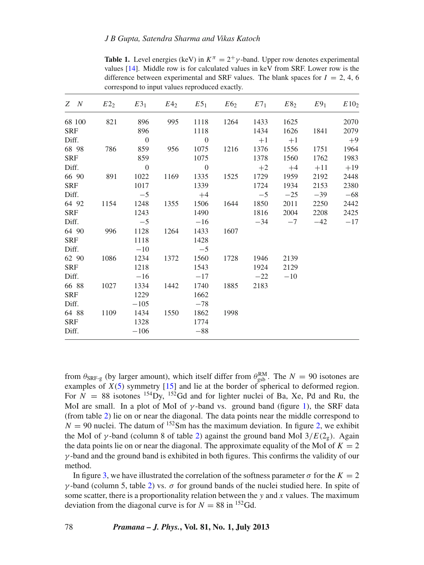<span id="page-3-0"></span>**Table 1.** Level energies (keV) in  $K^{\pi} = 2^{+}\gamma$ -band. Upper row denotes experimental values [\[14](#page-11-11)]. Middle row is for calculated values in keV from SRF. Lower row is the difference between experimental and SRF values. The blank spaces for  $I = 2, 4, 6$ correspond to input values reproduced exactly.

| Z N        |        | $E2_2$ $E3_1$ $E4_2$ $E5_1$ $E6_2$ $E7_1$ $E8_2$ $E9_1$ |                |      |                |      |       |       |       | E10 <sub>2</sub> |
|------------|--------|---------------------------------------------------------|----------------|------|----------------|------|-------|-------|-------|------------------|
|            | 68 100 | 821                                                     | 896            | 995  | 1118           | 1264 | 1433  | 1625  |       | 2070             |
| <b>SRF</b> |        |                                                         | 896            |      | 1118           |      | 1434  | 1626  | 1841  | 2079             |
| Diff.      |        |                                                         | $\overline{0}$ |      | $\overline{0}$ |      | $+1$  | $+1$  |       | $+9$             |
| 68 98      |        | 786                                                     | 859            | 956  | 1075           | 1216 | 1376  | 1556  | 1751  | 1964             |
| <b>SRF</b> |        |                                                         | 859            |      | 1075           |      | 1378  | 1560  | 1762  | 1983             |
| Diff.      |        |                                                         | $\overline{0}$ |      | $\overline{0}$ |      | $+2$  | $+4$  | $+11$ | $+19$            |
| 66 90      |        | 891                                                     | 1022           | 1169 | 1335           | 1525 | 1729  | 1959  | 2192  | 2448             |
| SRF        |        |                                                         | 1017           |      | 1339           |      | 1724  | 1934  | 2153  | 2380             |
| Diff.      |        |                                                         | $-5$           |      | $+4$           |      | $-5$  | $-25$ | $-39$ | $-68$            |
| 64 92      |        | 1154                                                    | 1248           | 1355 | 1506           | 1644 | 1850  | 2011  | 2250  | 2442             |
| SRF        |        |                                                         | 1243           |      | 1490           |      | 1816  | 2004  | 2208  | 2425             |
| Diff.      |        |                                                         | $-5$           |      | $-16$          |      | $-34$ | $-7$  | $-42$ | $-17$            |
| 64 90      |        | 996                                                     | 1128           | 1264 | 1433           | 1607 |       |       |       |                  |
| SRF        |        |                                                         | 1118           |      | 1428           |      |       |       |       |                  |
| Diff.      |        |                                                         | $-10$          |      | $-5$           |      |       |       |       |                  |
| 62 90      |        | 1086                                                    | 1234           | 1372 | 1560           | 1728 | 1946  | 2139  |       |                  |
| SRF        |        |                                                         | 1218           |      | 1543           |      | 1924  | 2129  |       |                  |
| Diff.      |        |                                                         | $-16$          |      | $-17$          |      | $-22$ | $-10$ |       |                  |
| 66 88      |        | 1027                                                    | 1334           | 1442 | 1740           | 1885 | 2183  |       |       |                  |
| SRF        |        |                                                         | 1229           |      | 1662           |      |       |       |       |                  |
| Diff.      |        |                                                         | $-105$         |      | $-78$          |      |       |       |       |                  |
| 64 88      |        | 1109                                                    | 1434           | 1550 | 1862           | 1998 |       |       |       |                  |
| <b>SRF</b> |        |                                                         | 1328           |      | 1774           |      |       |       |       |                  |
| Diff.      |        |                                                         | $-106$         |      | $-88$          |      |       |       |       |                  |

from  $\theta_{\text{SRF-g}}$  (by larger amount), which itself differ from  $\theta_{\text{gsb}}^{\text{RM}}$ . The  $N = 90$  isotones are examples of *X*[\(5\)](#page-1-3) symmetry [\[15](#page-11-12)] and lie at the border of spherical to deformed region. For  $N = 88$  isotones <sup>154</sup>Dy, <sup>152</sup>Gd and for lighter nuclei of Ba, Xe, Pd and Ru, the MoI are small. In a plot of MoI of  $\gamma$ -band vs. ground band (figure [1\)](#page-5-0), the SRF data (from table [2\)](#page-4-0) lie on or near the diagonal. The data points near the middle correspond to  $N = 90$  nuclei. The datum of <sup>152</sup>Sm has the maximum deviation. In figure [2,](#page-5-1) we exhibit the MoI of  $\gamma$ -band (column 8 of table [2\)](#page-4-0) against the ground band MoI  $3/E(2<sub>g</sub>)$ . Again the data points lie on or near the diagonal. The approximate equality of the MoI of  $K = 2$  $\gamma$ -band and the ground band is exhibited in both figures. This confirms the validity of our method.

In figure [3,](#page-6-0) we have illustrated the correlation of the softness parameter  $\sigma$  for the  $K = 2$  $γ$ -band (column 5, table [2\)](#page-4-0) vs.  $σ$  for ground bands of the nuclei studied here. In spite of some scatter, there is a proportionality relation between the *y* and *x* values. The maximum deviation from the diagonal curve is for  $N = 88$  in <sup>152</sup>Gd.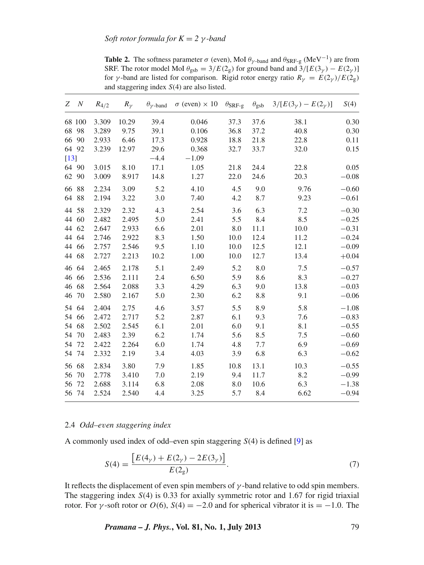<span id="page-4-0"></span>**Table 2.** The softness parameter  $\sigma$  (even), MoI  $\theta_{\gamma$ -band and  $\theta_{SRF-g}$  (MeV<sup>-1</sup>) are from SRF. The rotor model MoI  $\theta_{gsb} = 3/E(2_g)$  for ground band and  $3/[E(3_\gamma) - E(2_\gamma)]$ for *γ*-band are listed for comparison. Rigid rotor energy ratio  $R_\gamma = E(2_\gamma)/E(2_g)$ and staggering index *S*(4) are also listed.

| Z      | $\boldsymbol{N}$ | $R_{4/2}$ | $R_{\gamma}$ | $\theta_{\gamma}$ -band | $\sigma$ (even) $\times$ 10 | $\theta_{\rm SRF-g}$ | $\theta_{\rm gsb}$ | $3/[E(3\gamma) - E(2\gamma)]$ | S(4)    |
|--------|------------------|-----------|--------------|-------------------------|-----------------------------|----------------------|--------------------|-------------------------------|---------|
|        | 68 100           | 3.309     | 10.29        | 39.4                    | 0.046                       | 37.3                 | 37.6               | 38.1                          | 0.30    |
|        | 68 98            | 3.289     | 9.75         | 39.1                    | 0.106                       | 36.8                 | 37.2               | 40.8                          | 0.30    |
|        | 66 90            | 2.933     | 6.46         | 17.3                    | 0.928                       | 18.8                 | 21.8               | 22.8                          | 0.11    |
|        | 64 92            | 3.239     | 12.97        | 29.6                    | 0.368                       | 32.7                 | 33.7               | 32.0                          | 0.15    |
| $[13]$ |                  |           |              | $-4.4$                  | $-1.09$                     |                      |                    |                               |         |
|        | 64 90            | 3.015     | 8.10         | 17.1                    | 1.05                        | 21.8                 | 24.4               | 22.8                          | 0.05    |
|        | 62 90            | 3.009     | 8.917        | 14.8                    | 1.27                        | 22.0                 | 24.6               | 20.3                          | $-0.08$ |
|        | 66 88            | 2.234     | 3.09         | 5.2                     | 4.10                        | 4.5                  | 9.0                | 9.76                          | $-0.60$ |
|        | 64 88            | 2.194     | 3.22         | 3.0                     | 7.40                        | 4.2                  | 8.7                | 9.23                          | $-0.61$ |
|        | 44 58            | 2.329     | 2.32         | 4.3                     | 2.54                        | 3.6                  | 6.3                | 7.2                           | $-0.30$ |
|        | 44 60            | 2.482     | 2.495        | 5.0                     | 2.41                        | 5.5                  | 8.4                | 8.5                           | $-0.25$ |
|        | 44 62            | 2.647     | 2.933        | 6.6                     | 2.01                        | 8.0                  | 11.1               | 10.0                          | $-0.31$ |
|        | 44 64            | 2.746     | 2.922        | 8.3                     | 1.50                        | 10.0                 | 12.4               | 11.2                          | $-0.24$ |
|        | 44 66            | 2.757     | 2.546        | 9.5                     | 1.10                        | 10.0                 | 12.5               | 12.1                          | $-0.09$ |
|        | 44 68            | 2.727     | 2.213        | 10.2                    | 1.00                        | 10.0                 | 12.7               | 13.4                          | $+0.04$ |
|        | 46 64            | 2.465     | 2.178        | 5.1                     | 2.49                        | 5.2                  | 8.0                | 7.5                           | $-0.57$ |
|        | 46 66            | 2.536     | 2.111        | 2.4                     | 6.50                        | 5.9                  | 8.6                | 8.3                           | $-0.27$ |
| 46     | 68               | 2.564     | 2.088        | 3.3                     | 4.29                        | 6.3                  | 9.0                | 13.8                          | $-0.03$ |
| 46     | 70               | 2.580     | 2.167        | 5.0                     | 2.30                        | 6.2                  | 8.8                | 9.1                           | $-0.06$ |
|        | 54 64            | 2.404     | 2.75         | 4.6                     | 3.57                        | 5.5                  | 8.9                | 5.8                           | $-1.08$ |
| 54     | 66               | 2.472     | 2.717        | 5.2                     | 2.87                        | 6.1                  | 9.3                | 7.6                           | $-0.83$ |
|        | 54 68            | 2.502     | 2.545        | 6.1                     | 2.01                        | 6.0                  | 9.1                | 8.1                           | $-0.55$ |
| 54     | 70               | 2.483     | 2.39         | 6.2                     | 1.74                        | 5.6                  | 8.5                | 7.5                           | $-0.60$ |
| 54     | 72               | 2.422     | 2.264        | 6.0                     | 1.74                        | 4.8                  | 7.7                | 6.9                           | $-0.69$ |
|        | 54 74            | 2.332     | 2.19         | 3.4                     | 4.03                        | 3.9                  | 6.8                | 6.3                           | $-0.62$ |
| 56     | 68               | 2.834     | 3.80         | 7.9                     | 1.85                        | 10.8                 | 13.1               | 10.3                          | $-0.55$ |
| 56     | 70               | 2.778     | 3.410        | 7.0                     | 2.19                        | 9.4                  | 11.7               | 8.2                           | $-0.99$ |
| 56     | 72               | 2.688     | 3.114        | 6.8                     | 2.08                        | 8.0                  | 10.6               | 6.3                           | $-1.38$ |
|        | 56 74            | 2.524     | 2.540        | 4.4                     | 3.25                        | 5.7                  | 8.4                | 6.62                          | $-0.94$ |

#### 2.4 *Odd–e*v*en staggering index*

A commonly used index of odd–even spin staggering *S*(4) is defined [\[9\]](#page-11-6) as

$$
S(4) = \frac{[E(4_{\gamma}) + E(2_{\gamma}) - 2E(3_{\gamma})]}{E(2_{g})}.
$$
\n(7)

It reflects the displacement of even spin members of  $\gamma$ -band relative to odd spin members. The staggering index *S*(4) is 0.33 for axially symmetric rotor and 1.67 for rigid triaxial rotor. For  $\gamma$ -soft rotor or  $O(6)$ ,  $S(4) = -2.0$  and for spherical vibrator it is = -1.0. The

*Pramana – J. Phys.***, Vol. 81, No. 1, July 2013** 79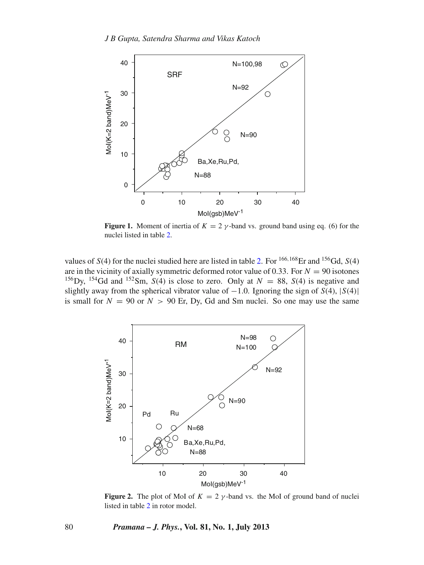<span id="page-5-0"></span>

**Figure 1.** Moment of inertia of  $K = 2 \gamma$ -band vs. ground band using eq. (6) for the nuclei listed in table [2.](#page-4-0)

values of  $S(4)$  for the nuclei studied here are listed in table [2.](#page-4-0) For <sup>166,168</sup>Er and <sup>156</sup>Gd,  $S(4)$ are in the vicinity of axially symmetric deformed rotor value of 0.33. For  $N = 90$  isotones <sup>156</sup>Dy, <sup>154</sup>Gd and <sup>152</sup>Sm, *S*(4) is close to zero. Only at  $N = 88$ , *S*(4) is negative and slightly away from the spherical vibrator value of  $-1.0$ . Ignoring the sign of  $S(4)$ ,  $|S(4)|$ is small for  $N = 90$  or  $N > 90$  Er, Dy, Gd and Sm nuclei. So one may use the same

<span id="page-5-1"></span>

**Figure 2.** The plot of MoI of  $K = 2 \gamma$ -band vs. the MoI of ground band of nuclei listed in table [2](#page-4-0) in rotor model.

#### 80 *Pramana – J. Phys.***, Vol. 81, No. 1, July 2013**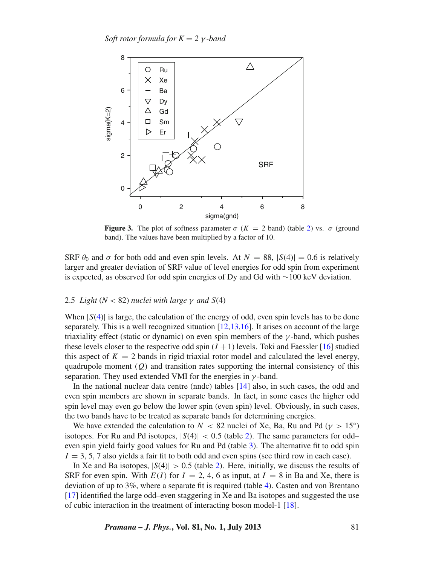*Soft rotor formula for*  $K = 2$  *γ-band* 

<span id="page-6-0"></span>

**Figure 3.** The plot of softness parameter  $\sigma$  ( $K = 2$  band) (table [2\)](#page-4-0) vs.  $\sigma$  (ground band). The values have been multiplied by a factor of 10.

SRF  $\theta_0$  and  $\sigma$  for both odd and even spin levels. At  $N = 88$ ,  $|S(4)| = 0.6$  is relatively larger and greater deviation of SRF value of level energies for odd spin from experiment is expected, as observed for odd spin energies of Dy and Gd with ∼100 keV deviation.

#### 2.5 *Light* ( $N < 82$ ) *nuclei with large*  $\gamma$  *and*  $S(4)$

When  $|S(4)|$  $|S(4)|$  $|S(4)|$  is large, the calculation of the energy of odd, even spin levels has to be done separately. This is a well recognized situation  $[12,13,16]$  $[12,13,16]$  $[12,13,16]$  $[12,13,16]$ . It arises on account of the large triaxiality effect (static or dynamic) on even spin members of the  $\gamma$ -band, which pushes these levels closer to the respective odd spin  $(I + 1)$  levels. Toki and Faessler [\[16\]](#page-11-13) studied this aspect of  $K = 2$  bands in rigid triaxial rotor model and calculated the level energy, quadrupole moment  $(O)$  and transition rates supporting the internal consistency of this separation. They used extended VMI for the energies in  $\gamma$ -band.

In the national nuclear data centre (nndc) tables [\[14\]](#page-11-11) also, in such cases, the odd and even spin members are shown in separate bands. In fact, in some cases the higher odd spin level may even go below the lower spin (even spin) level. Obviously, in such cases, the two bands have to be treated as separate bands for determining energies.

We have extended the calculation to  $N < 82$  nuclei of Xe, Ba, Ru and Pd ( $\gamma > 15°$ ) isotopes. For Ru and Pd isotopes,  $|S(4)| < 0.5$  (table [2\)](#page-4-0). The same parameters for oddeven spin yield fairly good values for Ru and Pd (table [3\)](#page-7-0). The alternative fit to odd spin  $I = 3, 5, 7$  also yields a fair fit to both odd and even spins (see third row in each case).

In Xe and Ba isotopes,  $|S(4)| > 0.5$  (table [2\)](#page-4-0). Here, initially, we discuss the results of SRF for even spin. With  $E(I)$  for  $I = 2, 4, 6$  as input, at  $I = 8$  in Ba and Xe, there is deviation of up to 3%, where a separate fit is required (table [4\)](#page-8-0). Casten and von Brentano [\[17](#page-11-14)] identified the large odd–even staggering in Xe and Ba isotopes and suggested the use of cubic interaction in the treatment of interacting boson model-1 [\[18](#page-11-15)].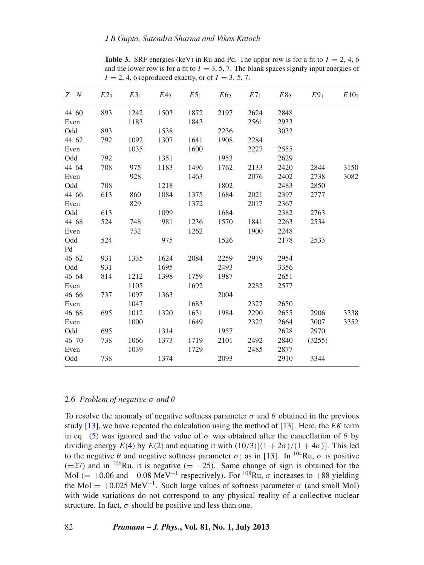<span id="page-7-0"></span>

| Z N   |     | $E2_2$ $E3_1$ |       |      |      |      | $E4_2$ $E5_1$ $E6_2$ $E7_1$ $E8_2$ | E9 <sub>1</sub> | E10 <sub>2</sub> |
|-------|-----|---------------|-------|------|------|------|------------------------------------|-----------------|------------------|
| 44 60 | 893 | 1242          | 1503  | 1872 | 2197 | 2624 | 2848                               |                 |                  |
| Even  |     | 1183          |       | 1843 |      | 2561 | 2933                               |                 |                  |
| Odd   | 893 |               | 1538  |      | 2236 |      | 3032                               |                 |                  |
| 44 62 | 792 | 1092          | 1307  | 1641 | 1908 | 2284 |                                    |                 |                  |
| Even  |     | 1035          |       | 1600 |      | 2227 | 2555                               |                 |                  |
| Odd   | 792 |               | 1351  |      | 1953 |      | 2629                               |                 |                  |
| 44 64 | 708 | 975           | 1183  | 1496 | 1762 | 2133 | 2420                               | 2844            | 3150             |
| Even  |     | 928           |       | 1463 |      | 2076 | 2402                               | 2738            | 3082             |
| Odd   | 708 |               | 1218  |      | 1802 |      | 2483                               | 2850            |                  |
| 44 66 | 613 | 860           | 1084  | 1375 | 1684 | 2021 | 2397                               | 2777            |                  |
| Even  |     | 829           |       | 1372 |      | 2017 | 2367                               |                 |                  |
| Odd   | 613 |               | 1099  |      | 1684 |      | 2382                               | 2763            |                  |
| 44 68 | 524 | 748           | - 981 | 1236 | 1570 | 1841 | 2263                               | 2534            |                  |
| Even  |     | 732           |       | 1262 |      | 1900 | 2248                               |                 |                  |
| Odd   | 524 |               | 975   |      | 1526 |      | 2178                               | 2533            |                  |
| Pd    |     |               |       |      |      |      |                                    |                 |                  |
| 46 62 | 931 | 1335          | 1624  | 2084 | 2259 | 2919 | 2954                               |                 |                  |
| Odd   | 931 |               | 1695  |      | 2493 |      | 3356                               |                 |                  |
| 46 64 | 814 | 1212          | 1398  | 1759 | 1987 |      | 2651                               |                 |                  |
| Even  |     | 1105          |       | 1692 |      | 2282 | 2577                               |                 |                  |
| 46 66 | 737 | 1097          | 1363  |      | 2004 |      |                                    |                 |                  |
| Even  |     | 1047          |       | 1683 |      | 2327 | 2650                               |                 |                  |
| 46 68 | 695 | 1012          | 1320  | 1631 | 1984 | 2290 | 2655                               | 2906            | 3338             |
| Even  |     | 1000          |       | 1649 |      | 2322 | 2664                               | 3007            | 3352             |
| Odd   | 695 |               | 1314  |      | 1957 |      | 2628                               | 2970            |                  |
| 46 70 | 738 | 1066          | 1373  | 1719 | 2101 | 2492 | 2840                               | (3255)          |                  |
| Even  |     | 1039          |       | 1729 |      | 2485 | 2877                               |                 |                  |
| Odd   | 738 |               | 1374  |      | 2093 |      | 2910                               | 3344            |                  |
|       |     |               |       |      |      |      |                                    |                 |                  |

**Table 3.** SRF energies (keV) in Ru and Pd. The upper row is for a fit to  $I = 2, 4, 6$ and the lower row is for a fit to  $I = 3, 5, 7$ . The blank spaces signify input energies of  $I = 2, 4, 6$  reproduced exactly, or of  $I = 3, 5, 7$ .

#### 2.6 *Problem of negati*v*e* σ *and* θ

To resolve the anomaly of negative softness parameter  $\sigma$  and  $\theta$  obtained in the previous study [\[13](#page-11-10)], we have repeated the calculation using the method of [\[13](#page-11-10)]. Here, the *EK* term in eq. [\(5\)](#page-1-3) was ignored and the value of  $\sigma$  was obtained after the cancellation of  $\theta$  by dividing energy  $E(4)$  $E(4)$  by  $E(2)$  and equating it with  $(10/3)[(1+2\sigma)/(1+4\sigma)]$ . This led to the negative  $\theta$  and negative softness parameter  $\sigma$ ; as in [\[13](#page-11-10)]. In <sup>104</sup>Ru,  $\sigma$  is positive (=27) and in  $106$ Ru, it is negative (= −25). Same change of sign is obtained for the MoI (= +0.06 and −0.08 MeV<sup>-1</sup> respectively). For <sup>108</sup>Ru,  $\sigma$  increases to +88 yielding the MoI = +0.025 MeV<sup>-1</sup>. Such large values of softness parameter  $\sigma$  (and small MoI) with wide variations do not correspond to any physical reality of a collective nuclear structure. In fact,  $\sigma$  should be positive and less than one.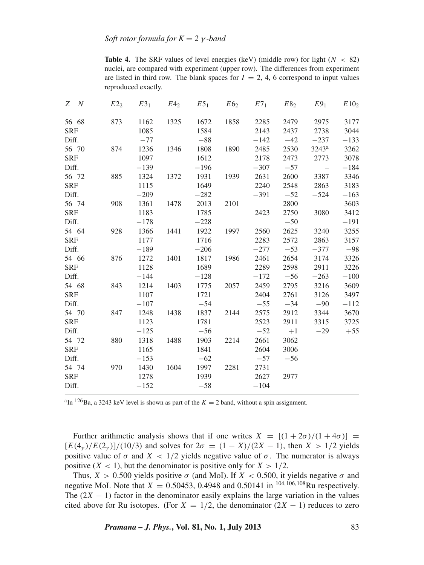<span id="page-8-0"></span>

|            |        | reproduced exactly. |                 |                 |                 |                 |                 |                 |                  |
|------------|--------|---------------------|-----------------|-----------------|-----------------|-----------------|-----------------|-----------------|------------------|
| N<br>Z     | $E2_2$ | $E3_1$              | E4 <sub>2</sub> | E5 <sub>1</sub> | E6 <sub>2</sub> | E7 <sub>1</sub> | E8 <sub>2</sub> | E9 <sub>1</sub> | E10 <sub>2</sub> |
| 56 68      | 873    | 1162                | 1325            | 1672            | 1858            | 2285            | 2479            | 2975            | 3177             |
| <b>SRF</b> |        | 1085                |                 | 1584            |                 | 2143            | 2437            | 2738            | 3044             |
| Diff.      |        | $-77$               |                 | $-88$           |                 | $-142$          | $-42$           | $-237$          | $-133$           |
| 56 70      | 874    | 1236                | 1346            | 1808            | 1890            | 2485            | 2530            | $3243^a$        | 3262             |
| <b>SRF</b> |        | 1097                |                 | 1612            |                 | 2178            | 2473            | 2773            | 3078             |
| Diff.      |        | $-139$              |                 | $-196$          |                 | $-307$          | $-57$           | $\sim$ $-$      | $-184$           |
| 56 72      | 885    | 1324                | 1372            | 1931            | 1939            | 2631            | 2600            | 3387            | 3346             |
| <b>SRF</b> |        | 1115                |                 | 1649            |                 | 2240            | 2548            | 2863            | 3183             |
| Diff.      |        | $-209$              |                 | $-282$          |                 | $-391$          | $-52$           | $-524$          | $-163$           |
| 56 74      | 908    | 1361                | 1478            | 2013            | 2101            |                 | 2800            |                 | 3603             |
| <b>SRF</b> |        | 1183                |                 | 1785            |                 | 2423            | 2750            | 3080            | 3412             |
| Diff.      |        | $-178$              |                 | $-228$          |                 |                 | $-50$           |                 | $-191$           |
| 54 64      | 928    | 1366                | 1441            | 1922            | 1997            | 2560            | 2625            | 3240            | 3255             |
| <b>SRF</b> |        | 1177                |                 | 1716            |                 | 2283            | 2572            | 2863            | 3157             |
| Diff.      |        | $-189$              |                 | $-206$          |                 | $-277$          | $-53$           | $-377$          | $-98$            |
| 54 66      | 876    | 1272                | 1401            | 1817            | 1986            | 2461            | 2654            | 3174            | 3326             |
| <b>SRF</b> |        | 1128                |                 | 1689            |                 | 2289            | 2598            | 2911            | 3226             |
| Diff.      |        | $-144$              |                 | $-128$          |                 | $-172$          | $-56$           | $-263$          | $-100$           |
| 54 68      | 843    | 1214                | 1403            | 1775            | 2057            | 2459            | 2795            | 3216            | 3609             |
| <b>SRF</b> |        | 1107                |                 | 1721            |                 | 2404            | 2761            | 3126            | 3497             |
| Diff.      |        | $-107$              |                 | $-54$           |                 | $-55$           | $-34$           | $-90$           | $-112$           |
| 54 70      | 847    | 1248                | 1438            | 1837            | 2144            | 2575            | 2912            | 3344            | 3670             |
| <b>SRF</b> |        | 1123                |                 | 1781            |                 | 2523            | 2911            | 3315            | 3725             |
| Diff.      |        | $-125$              |                 | $-56$           |                 | $-52$           | $+1$            | $-29$           | $+55$            |
| 54 72      | 880    | 1318                | 1488            | 1903            | 2214            | 2661            | 3062            |                 |                  |
| <b>SRF</b> |        | 1165                |                 | 1841            |                 | 2604            | 3006            |                 |                  |
| Diff.      |        | $-153$              |                 | $-62$           |                 | $-57$           | $-56$           |                 |                  |
| 54 74      | 970    | 1430                | 1604            | 1997            | 2281            | 2731            |                 |                 |                  |
| <b>SRF</b> |        | 1278                |                 | 1939            |                 | 2627            | 2977            |                 |                  |
| Diff.      |        | $-152$              |                 | $-58$           |                 | $-104$          |                 |                 |                  |
|            |        |                     |                 |                 |                 |                 |                 |                 |                  |

**Table 4.** The SRF values of level energies (keV) (middle row) for light ( $N < 82$ ) nuclei, are compared with experiment (upper row). The differences from experiment are listed in third row. The blank spaces for  $I = 2, 4, 6$  correspond to input values reproduced exactly.

<sup>a</sup>In <sup>126</sup>Ba, a 3243 keV level is shown as part of the  $K = 2$  band, without a spin assignment.

Further arithmetic analysis shows that if one writes  $X = (1 + 2\sigma)/(1 + 4\sigma)$  $[E(4<sub>\gamma</sub>)/E(2<sub>\gamma</sub>)]/(10/3)$  and solves for  $2\sigma = (1 - X)/(2X - 1)$ , then  $X > 1/2$  yields positive value of  $\sigma$  and  $X < 1/2$  yields negative value of  $\sigma$ . The numerator is always positive  $(X < 1)$ , but the denominator is positive only for  $X > 1/2$ .

Thus,  $X > 0.500$  yields positive  $\sigma$  (and MoI). If  $X < 0.500$ , it yields negative  $\sigma$  and negative MoI. Note that  $X = 0.50453$ , 0.4948 and 0.50141 in <sup>104,106,108</sup>Ru respectively. The  $(2X - 1)$  factor in the denominator easily explains the large variation in the values cited above for Ru isotopes. (For  $X = 1/2$ , the denominator  $(2X - 1)$  reduces to zero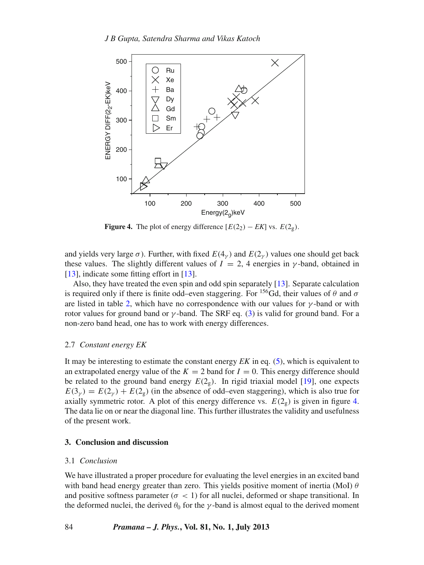<span id="page-9-1"></span>

**Figure 4.** The plot of energy difference  $[E(2_2) - EK]$  vs.  $E(2_g)$ .

and yields very large  $\sigma$ ). Further, with fixed  $E(4<sub>\gamma</sub>)$  and  $E(2<sub>\gamma</sub>)$  values one should get back these values. The slightly different values of  $I = 2$ , 4 energies in  $\gamma$ -band, obtained in [\[13](#page-11-10)], indicate some fitting effort in [13].

Also, they have treated the even spin and odd spin separately [\[13](#page-11-10)]. Separate calculation is required only if there is finite odd–even staggering. For <sup>156</sup>Gd, their values of  $\theta$  and  $\sigma$ are listed in table [2,](#page-4-0) which have no correspondence with our values for  $\gamma$ -band or with rotor values for ground band or  $\gamma$ -band. The SRF eq. [\(3\)](#page-1-0) is valid for ground band. For a non-zero band head, one has to work with energy differences.

#### 2.7 *Constant energy EK*

It may be interesting to estimate the constant energy *EK* in eq. [\(5\)](#page-1-3), which is equivalent to an extrapolated energy value of the  $K = 2$  band for  $I = 0$ . This energy difference should be related to the ground band energy  $E(2_g)$ . In rigid triaxial model [\[19\]](#page-11-16), one expects  $E(3<sub>v</sub>) = E(2<sub>v</sub>) + E(2<sub>e</sub>)$  (in the absence of odd–even staggering), which is also true for axially symmetric rotor. A plot of this energy difference vs.  $E(2_g)$  is given in figure [4.](#page-9-1) The data lie on or near the diagonal line. This further illustrates the validity and usefulness of the present work.

## <span id="page-9-0"></span>**3. Conclusion and discussion**

#### 3.1 *Conclusion*

We have illustrated a proper procedure for evaluating the level energies in an excited band with band head energy greater than zero. This yields positive moment of inertia (MoI)  $\theta$ and positive softness parameter ( $\sigma$  < 1) for all nuclei, deformed or shape transitional. In the deformed nuclei, the derived  $\theta_0$  for the  $\gamma$ -band is almost equal to the derived moment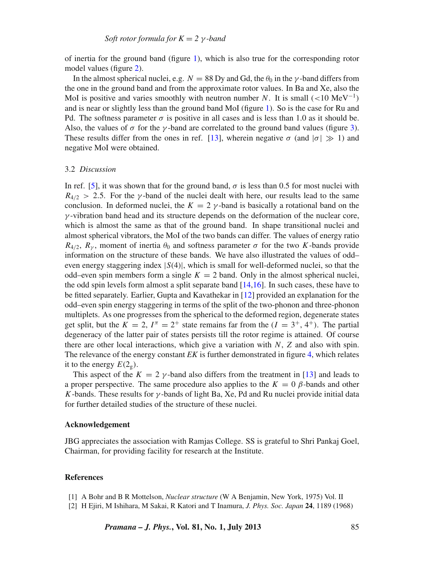of inertia for the ground band (figure [1\)](#page-5-0), which is also true for the corresponding rotor model values (figure [2\)](#page-5-1).

In the almost spherical nuclei, e.g.  $N = 88$  Dy and Gd, the  $\theta_0$  in the  $\gamma$ -band differs from the one in the ground band and from the approximate rotor values. In Ba and Xe, also the MoI is positive and varies smoothly with neutron number *N*. It is small  $(<10 \text{ MeV}^{-1})$ and is near or slightly less than the ground band MoI (figure [1\)](#page-5-0). So is the case for Ru and Pd. The softness parameter  $\sigma$  is positive in all cases and is less than 1.0 as it should be. Also, the values of  $\sigma$  for the  $\gamma$ -band are correlated to the ground band values (figure [3\)](#page-6-0). These results differ from the ones in ref. [\[13](#page-11-10)], wherein negative  $\sigma$  (and  $|\sigma| \gg 1$ ) and negative MoI were obtained.

#### 3.2 *Discussion*

In ref. [\[5](#page-11-2)], it was shown that for the ground band,  $\sigma$  is less than 0.5 for most nuclei with  $R_{4/2} > 2.5$ . For the *γ*-band of the nuclei dealt with here, our results lead to the same conclusion. In deformed nuclei, the  $K = 2 \gamma$ -band is basically a rotational band on the  $\gamma$ -vibration band head and its structure depends on the deformation of the nuclear core, which is almost the same as that of the ground band. In shape transitional nuclei and almost spherical vibrators, the MoI of the two bands can differ. The values of energy ratio  $R_{4/2}$ ,  $R_{\nu}$ , moment of inertia  $\theta_0$  and softness parameter  $\sigma$  for the two *K*-bands provide information on the structure of these bands. We have also illustrated the values of odd– even energy staggering index |*S*(4)|, which is small for well-deformed nuclei, so that the odd–even spin members form a single  $K = 2$  band. Only in the almost spherical nuclei, the odd spin levels form almost a split separate band  $[14,16]$  $[14,16]$  $[14,16]$ . In such cases, these have to be fitted separately. Earlier, Gupta and Kavathekar in [\[12](#page-11-9)] provided an explanation for the odd–even spin energy staggering in terms of the split of the two-phonon and three-phonon multiplets. As one progresses from the spherical to the deformed region, degenerate states get split, but the  $K = 2$ ,  $I^{\pi} = 2^{+}$  state remains far from the  $(I = 3^{+}, 4^{+})$ . The partial degeneracy of the latter pair of states persists till the rotor regime is attained. Of course there are other local interactions, which give a variation with *N*, *Z* and also with spin. The relevance of the energy constant *EK* is further demonstrated in figure [4,](#page-9-1) which relates it to the energy  $E(2_{\circ}).$ 

This aspect of the  $K = 2 \gamma$ -band also differs from the treatment in [\[13](#page-11-10)] and leads to a proper perspective. The same procedure also applies to the  $K = 0$   $\beta$ -bands and other *K*-bands. These results for  $\gamma$ -bands of light Ba, Xe, Pd and Ru nuclei provide initial data for further detailed studies of the structure of these nuclei.

#### **Acknowledgement**

JBG appreciates the association with Ramjas College. SS is grateful to Shri Pankaj Goel, Chairman, for providing facility for research at the Institute.

#### **References**

- <span id="page-10-0"></span>[1] A Bohr and B R Mottelson, *Nuclear structure* (W A Benjamin, New York, 1975) Vol. II
- <span id="page-10-1"></span>[2] H Ejiri, M Ishihara, M Sakai, R Katori and T Inamura, *J. Phys. Soc. Japan* **24**, 1189 (1968)